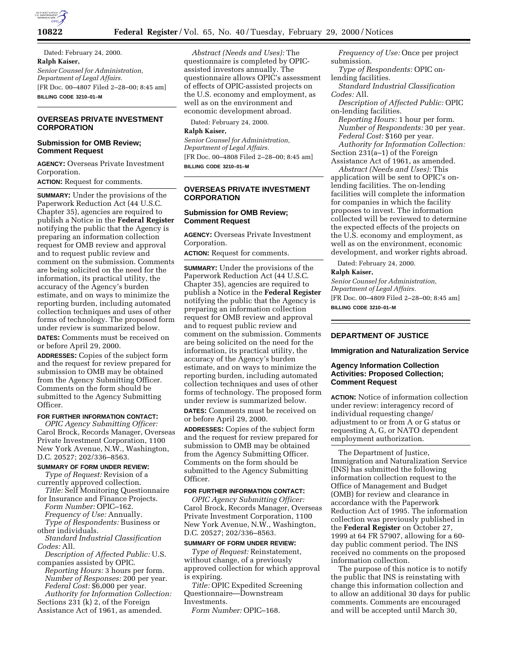

Dated: February 24, 2000. **Ralph Kaiser,** *Senior Counsel for Administration, Department of Legal Affairs.* [FR Doc. 00–4807 Filed 2–28–00; 8:45 am] **BILLING CODE 3210–01–M**

# **OVERSEAS PRIVATE INVESTMENT CORPORATION**

# **Submission for OMB Review; Comment Request**

**AGENCY:** Overseas Private Investment Corporation.

**ACTION:** Request for comments.

**SUMMARY:** Under the provisions of the Paperwork Reduction Act (44 U.S.C. Chapter 35), agencies are required to publish a Notice in the **Federal Register** notifying the public that the Agency is preparing an information collection request for OMB review and approval and to request public review and comment on the submission. Comments are being solicited on the need for the information, its practical utility, the accuracy of the Agency's burden estimate, and on ways to minimize the reporting burden, including automated collection techniques and uses of other forms of technology. The proposed form under review is summarized below.

**DATES:** Comments must be received on or before April 29, 2000.

**ADDRESSES:** Copies of the subject form and the request for review prepared for submission to OMB may be obtained from the Agency Submitting Officer. Comments on the form should be submitted to the Agency Submitting Officer.

### **FOR FURTHER INFORMATION CONTACT:**

*OPIC Agency Submitting Officer:* Carol Brock, Records Manager, Overseas Private Investment Corporation, 1100 New York Avenue, N.W., Washington, D.C. 20527; 202/336–8563.

### **SUMMARY OF FORM UNDER REVIEW:**

*Type of Request:* Revision of a currently approved collection.

*Title:* Self Monitoring Questionnaire for Insurance and Finance Projects. *Form Number:* OPIC–162.

*Frequency of Use:* Annually.

*Type of Respondents:* Business or other individuals.

*Standard Industrial Classification Codes:* All.

*Description of Affected Public:* U.S. companies assisted by OPIC.

*Reporting Hours:* 3 hours per form. *Number of Responses:* 200 per year. *Federal Cost:* \$6,000 per year.

*Authority for Information Collection:* Sections 231 (k) 2, of the Foreign Assistance Act of 1961, as amended.

*Abstract (Needs and Uses):* The questionnaire is completed by OPICassisted investors annually. The questionnaire allows OPIC's assessment of effects of OPIC-assisted projects on the U.S. economy and employment, as well as on the environment and economic development abroad.

Dated: February 24, 2000.

**Ralph Kaiser,**

*Senior Counsel for Administration, Department of Legal Affairs.* [FR Doc. 00–4808 Filed 2–28–00; 8:45 am] **BILLING CODE 3210–01–M**

#### **OVERSEAS PRIVATE INVESTMENT CORPORATION**

#### **Submission for OMB Review; Comment Request**

**AGENCY:** Overseas Private Investment Corporation.

**ACTION:** Request for comments.

**SUMMARY:** Under the provisions of the Paperwork Reduction Act (44 U.S.C. Chapter 35), agencies are required to publish a Notice in the **Federal Register** notifying the public that the Agency is preparing an information collection request for OMB review and approval and to request public review and comment on the submission. Comments are being solicited on the need for the information, its practical utility, the accuracy of the Agency's burden estimate, and on ways to minimize the reporting burden, including automated collection techniques and uses of other forms of technology. The proposed form under review is summarized below.

**DATES:** Comments must be received on or before April 29, 2000.

**ADDRESSES:** Copies of the subject form and the request for review prepared for submission to OMB may be obtained from the Agency Submitting Officer. Comments on the form should be submitted to the Agency Submitting Officer.

#### **FOR FURTHER INFORMATION CONTACT:**

*OPIC Agency Submitting Officer:* Carol Brock, Records Manager, Overseas Private Investment Corporation, 1100 New York Avenue, N.W., Washington, D.C. 20527; 202/336–8563.

## **SUMMARY OF FORM UNDER REVIEW:**

*Type of Request:* Reinstatement, without change, of a previously approved collection for which approval is expiring.

*Title:* OPIC Expedited Screening Questionnaire—Downstream Investments.

*Form Number:* OPIC–168.

*Frequency of Use:* Once per project submission.

*Type of Respondents:* OPIC onlending facilities.

*Standard Industrial Classification Codes:* All.

*Description of Affected Public:* OPIC on-lending facilities.

*Reporting Hours:* 1 hour per form. *Number of Respondents:* 30 per year. *Federal Cost:* \$160 per year.

*Authority for Information Collection:* Section 231(a–1) of the Foreign

Assistance Act of 1961, as amended. *Abstract (Needs and Uses):* This

application will be sent to OPIC's onlending facilities. The on-lending facilities will complete the information for companies in which the facility proposes to invest. The information collected will be reviewed to determine the expected effects of the projects on the U.S. economy and employment, as well as on the environment, economic development, and worker rights abroad.

Dated: February 24, 2000.

### **Ralph Kaiser,**

*Senior Counsel for Administration, Department of Legal Affairs.* [FR Doc. 00–4809 Filed 2–28–00; 8:45 am] **BILLING CODE 3210–01–M**

# **DEPARTMENT OF JUSTICE**

# **Immigration and Naturalization Service**

#### **Agency Information Collection Activities: Proposed Collection; Comment Request**

**ACTION:** Notice of information collection under review: interagency record of individual requesting change/ adjustment to or from A or G status or requesting A, G, or NATO dependent employment authorization.

The Department of Justice, Immigration and Naturalization Service (INS) has submitted the following information collection request to the Office of Management and Budget (OMB) for review and clearance in accordance with the Paperwork Reduction Act of 1995. The information collection was previously published in the **Federal Register** on October 27, 1999 at 64 FR 57907, allowing for a 60 day public comment period. The INS received no comments on the proposed information collection.

The purpose of this notice is to notify the public that INS is reinstating with change this information collection and to allow an additional 30 days for public comments. Comments are encouraged and will be accepted until March 30,